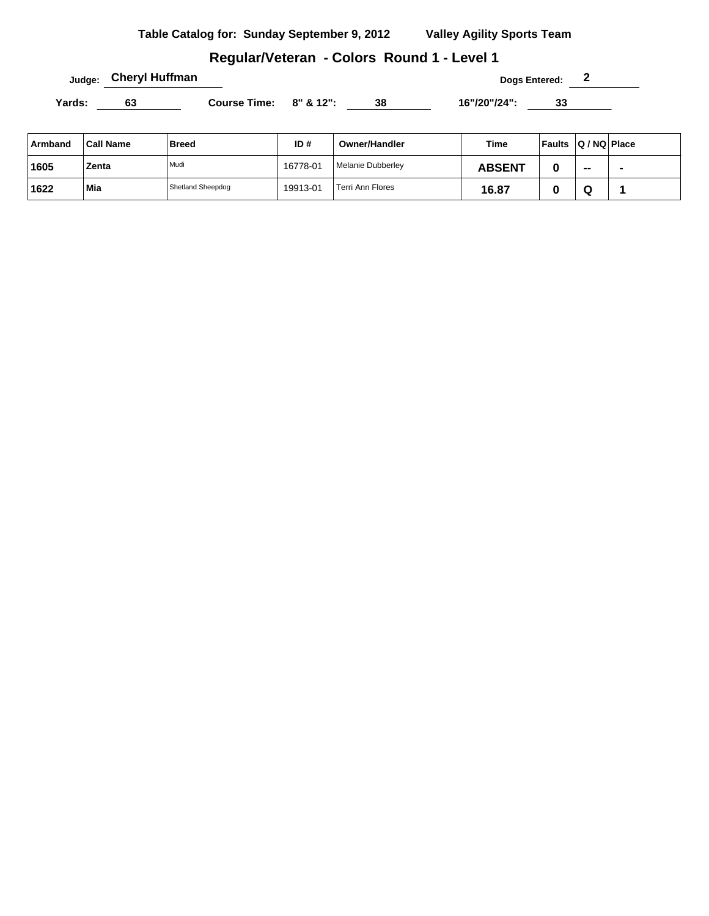## **Regular/Veteran - Colors Round 1 - Level 1**

**Judge:** Cheryl Huffman **Dogs Entered: 2** 

Yards: 63 Course Time: 8" & 12": 38 16"/20"/24": 33

| ∣Armband | <b>Call Name</b> | <b>Breed</b>      | ID#      | Owner/Handler     | Time          | <b>Faults</b> | $ Q/NQ $ Place |  |
|----------|------------------|-------------------|----------|-------------------|---------------|---------------|----------------|--|
| ່ 1605   | Zenta            | Mudi              | 16778-01 | Melanie Dubberley | <b>ABSENT</b> |               | $\sim$         |  |
| 1622     | Mia              | Shetland Sheepdog | 19913-01 | Terri Ann Flores  | 16.87         |               | ч              |  |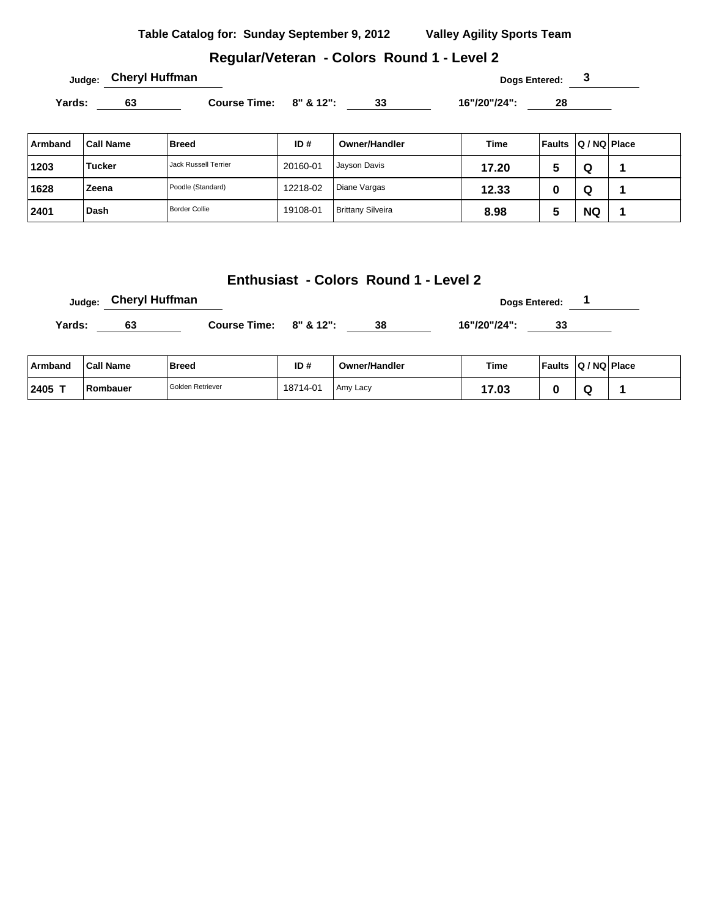| Table Catalog for: Sunday September 9, 2012 | <b>Valley Agility Sports Team</b> |
|---------------------------------------------|-----------------------------------|
|                                             |                                   |

# **Regular/Veteran - Colors Round 1 - Level 2**

**Dogs Entered: 3 Dogs Entered: 3** 

Yards: 63 Course Time: 8" & 12": 33 16"/20"/24": 28

| Armband | <b>Call Name</b> | <b>Breed</b>         | ID#      | Owner/Handler            | <b>Time</b> | <b>Faults</b> | Q / NQ   Place |  |
|---------|------------------|----------------------|----------|--------------------------|-------------|---------------|----------------|--|
| 1203    | <b>Tucker</b>    | Jack Russell Terrier | 20160-01 | Jayson Davis             | 17.20       | э             | Q              |  |
| 1628    | Zeena            | Poodle (Standard)    | 12218-02 | Diane Vargas             | 12.33       | u             | Q              |  |
| 2401    | Dash             | <b>Border Collie</b> | 19108-01 | <b>Brittany Silveira</b> | 8.98        | υ             | <b>NQ</b>      |  |

## **Enthusiast - Colors Round 1 - Level 2**

|        | Judge: Cheryl Huffman |                        | Dogs Entered: |              |  |  |
|--------|-----------------------|------------------------|---------------|--------------|--|--|
| Yards: | 63                    | Course Time: 8" & 12": | 38            | 16"/20"/24": |  |  |

| ∣ Armband | <b>Call Name</b> | <b>Breed</b>     | ID#      | <b>Owner/Handler</b> | Time  | <b>Faults</b> | $ Q/NQ $ Place |  |
|-----------|------------------|------------------|----------|----------------------|-------|---------------|----------------|--|
| $12405$ T | Rombauer         | Golden Retriever | 18714-01 | Amy Lacy             | 17.03 |               |                |  |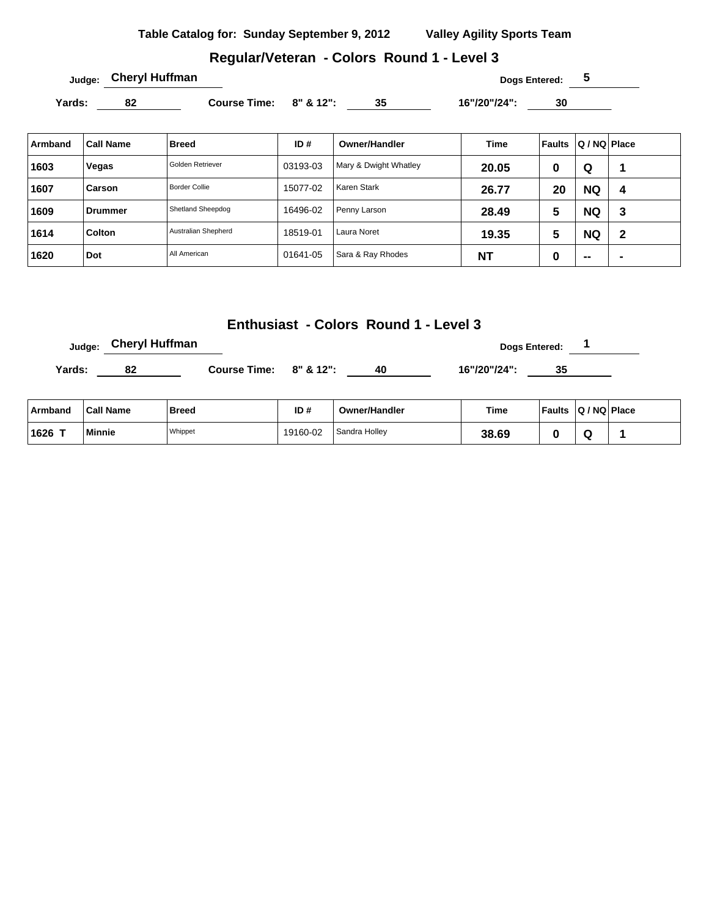#### **Regular/Veteran - Colors Round 1 - Level 3**

Yards: 82 Course Time: 8" & 12": 35 16"/20"/24": 30

| Armband | <b>Call Name</b> | <b>Breed</b>         | ID#      | <b>Owner/Handler</b>  | Time      | Faults | Q / NQ Place |                |
|---------|------------------|----------------------|----------|-----------------------|-----------|--------|--------------|----------------|
| 1603    | Vegas            | Golden Retriever     | 03193-03 | Mary & Dwight Whatley | 20.05     | 0      | Q            |                |
| 1607    | Carson           | <b>Border Collie</b> | 15077-02 | Karen Stark           | 26.77     | 20     | <b>NQ</b>    | 4              |
| 1609    | Drummer          | Shetland Sheepdog    | 16496-02 | Penny Larson          | 28.49     | 5      | <b>NQ</b>    | 3              |
| 1614    | <b>Colton</b>    | Australian Shepherd  | 18519-01 | Laura Noret           | 19.35     | 5      | <b>NQ</b>    | $\mathbf 2$    |
| 1620    | Dot              | All American         | 01641-05 | Sara & Ray Rhodes     | <b>NT</b> | 0      | $- -$        | $\blacksquare$ |

## **Enthusiast - Colors Round 1 - Level 3**

**Judge:** Cheryl Huffman **Dogs Entered:** 1

Yards: 82 Course Time: 8" & 12": 40 16"/20"/24": 35

| Armband | <b>Call Name</b> | Breed   | ID#      | <b>Owner/Handler</b> | Time  | <b>Faults</b> | Q / NQ   Place |  |
|---------|------------------|---------|----------|----------------------|-------|---------------|----------------|--|
| 1626 T  | Minnie           | Whippet | 19160-02 | Sandra Holley        | 38.69 |               |                |  |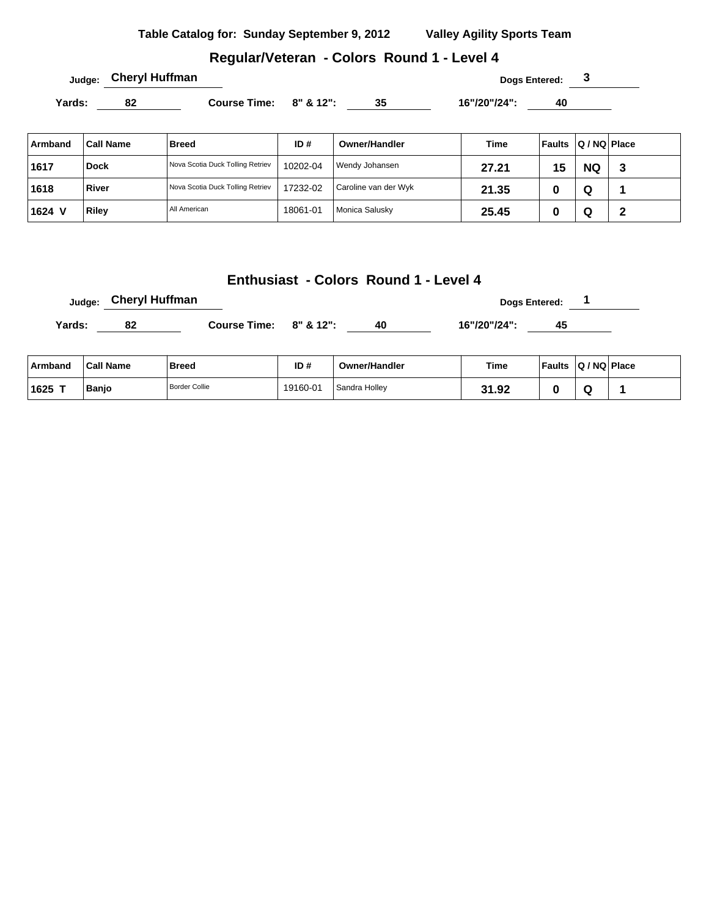## **Regular/Veteran - Colors Round 1 - Level 4**

**Judge: Cheryl Huffman Dogs Entered: 3** 

Yards: 82 Course Time: 8" & 12": 35 16"/20"/24": 40

| Armband | Call Name    | <b>Breed</b>                     | ID#      | Owner/Handler        | Time  | <b>Faults</b> | $ Q/NQ $ Place |        |
|---------|--------------|----------------------------------|----------|----------------------|-------|---------------|----------------|--------|
| 1617    | <b>Dock</b>  | Nova Scotia Duck Tolling Retriev | 10202-04 | Wendy Johansen       | 27.21 | 15            | <b>NQ</b>      | 3      |
| 1618    | River        | Nova Scotia Duck Tolling Retriev | 17232-02 | Caroline van der Wyk | 21.35 | u             | Q              |        |
| 1624 V  | <b>Riley</b> | All American                     | 18061-01 | Monica Salusky       | 25.45 | υ             | Q              | າ<br>◢ |

#### **Enthusiast - Colors Round 1 - Level 4**

|        | Judge: Cheryl Huffman |                        | Dogs Entered: |              |    |  |  |
|--------|-----------------------|------------------------|---------------|--------------|----|--|--|
| Yards: |                       | Course Time: 8" & 12": |               | 16"/20"/24": | 45 |  |  |

| ⊺Armband | <b>Call Name</b> | Breed                | ID#      | <b>Owner/Handler</b> | <b>Time</b> | <b>Faults</b> | $ Q/NQ $ Place |  |
|----------|------------------|----------------------|----------|----------------------|-------------|---------------|----------------|--|
| $1625$ T | Banjo            | <b>Border Collie</b> | 19160-01 | Sandra Hollev        | 31.92       |               |                |  |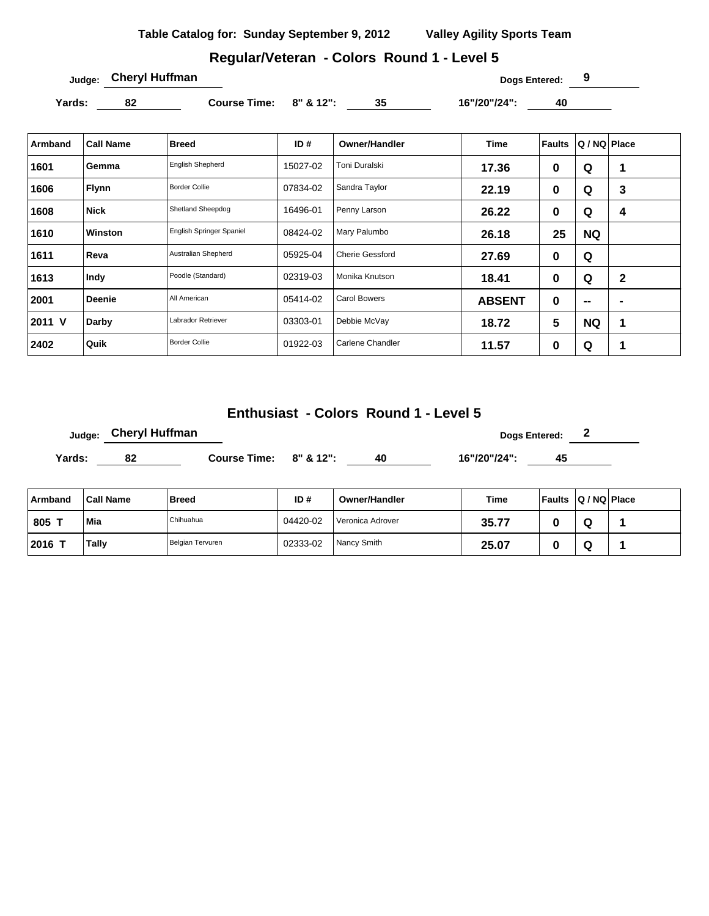## **Regular/Veteran - Colors Round 1 - Level 5**

**Judge: Cheryl Huffman Dogs Entered: 9** 

**Yards: 82 Course Time: 8" & 12": 35 16"/20"/24": 40** 

| Armband | <b>Call Name</b> | Breed                    | ID#      | <b>Owner/Handler</b>   | <b>Time</b>   | <b>Faults</b> | Q / NQ Place |             |
|---------|------------------|--------------------------|----------|------------------------|---------------|---------------|--------------|-------------|
| 1601    | Gemma            | English Shepherd         | 15027-02 | Toni Duralski          | 17.36         | 0             | Q            | 1           |
| 1606    | <b>Flynn</b>     | <b>Border Collie</b>     | 07834-02 | Sandra Taylor          | 22.19         | 0             | Q            | 3           |
| 1608    | <b>Nick</b>      | Shetland Sheepdog        | 16496-01 | Penny Larson           | 26.22         | 0             | Q            | 4           |
| 1610    | <b>Winston</b>   | English Springer Spaniel | 08424-02 | Mary Palumbo           | 26.18         | 25            | <b>NQ</b>    |             |
| 1611    | Reva             | Australian Shepherd      | 05925-04 | <b>Cherie Gessford</b> | 27.69         | 0             | Q            |             |
| 1613    | Indy             | Poodle (Standard)        | 02319-03 | Monika Knutson         | 18.41         | 0             | Q            | $\mathbf 2$ |
| 2001    | <b>Deenie</b>    | All American             | 05414-02 | Carol Bowers           | <b>ABSENT</b> | 0             | $-$          | ٠           |
| 2011 V  | Darby            | Labrador Retriever       | 03303-01 | Debbie McVay           | 18.72         | 5             | <b>NQ</b>    | 1           |
| 2402    | Quik             | <b>Border Collie</b>     | 01922-03 | Carlene Chandler       | 11.57         | 0             | Q            | 1           |

## **Enthusiast - Colors Round 1 - Level 5**

|        | <sub>Judge:</sub> Cheryl Huffman |                              |  | Dogs Entered: 2 |              |    |  |  |
|--------|----------------------------------|------------------------------|--|-----------------|--------------|----|--|--|
| Yards: | 82                               | Course Time: $8''$ & $12"$ : |  | 40              | 16"/20"/24": | 45 |  |  |
|        |                                  |                              |  |                 |              |    |  |  |

| Armband | <b>Call Name</b> | <b>Breed</b>     | ID#      | Owner/Handler    | Time  | Faults | $ Q/NQ $ Place |  |
|---------|------------------|------------------|----------|------------------|-------|--------|----------------|--|
| 805 1   | Mia              | Chihuahua        | 04420-02 | Veronica Adrover | 35.77 |        | ч              |  |
| 2016    | <b>Tally</b>     | Belgian Tervuren | 02333-02 | Nancy Smith      | 25.07 |        | ч              |  |